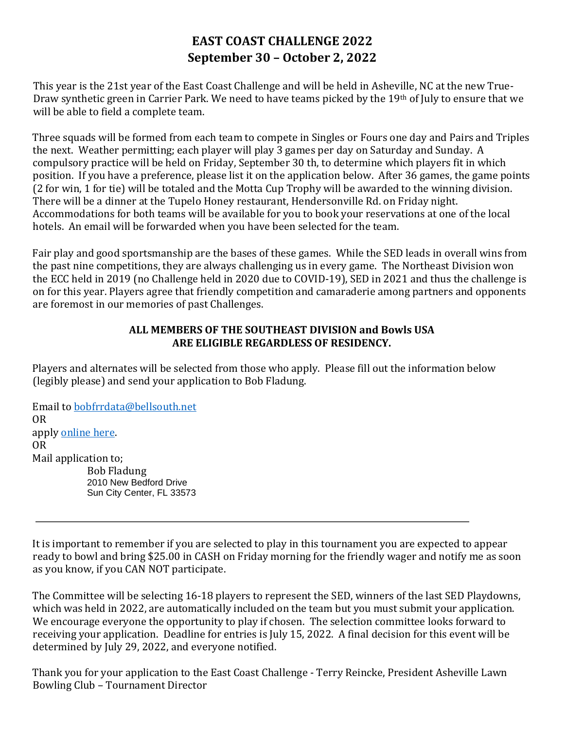## **EAST COAST CHALLENGE 2022 September 30 – October 2, 2022**

This year is the 21st year of the East Coast Challenge and will be held in Asheville, NC at the new True-Draw synthetic green in Carrier Park. We need to have teams picked by the 19th of July to ensure that we will be able to field a complete team.

Three squads will be formed from each team to compete in Singles or Fours one day and Pairs and Triples the next. Weather permitting; each player will play 3 games per day on Saturday and Sunday. A compulsory practice will be held on Friday, September 30 th, to determine which players fit in which position. If you have a preference, please list it on the application below. After 36 games, the game points (2 for win, 1 for tie) will be totaled and the Motta Cup Trophy will be awarded to the winning division. There will be a dinner at the Tupelo Honey restaurant, Hendersonville Rd. on Friday night. Accommodations for both teams will be available for you to book your reservations at one of the local hotels. An email will be forwarded when you have been selected for the team.

Fair play and good sportsmanship are the bases of these games. While the SED leads in overall wins from the past nine competitions, they are always challenging us in every game. The Northeast Division won the ECC held in 2019 (no Challenge held in 2020 due to COVID-19), SED in 2021 and thus the challenge is on for this year. Players agree that friendly competition and camaraderie among partners and opponents are foremost in our memories of past Challenges.

## **ALL MEMBERS OF THE SOUTHEAST DIVISION and Bowls USA ARE ELIGIBLE REGARDLESS OF RESIDENCY.**

Players and alternates will be selected from those who apply. Please fill out the information below (legibly please) and send your application to Bob Fladung.

Email to [bobfrrdata@bellsouth.net](mailto:bobfrrdata@bellsouth.net)  OR apply [online here.](https://docs.google.com/forms/d/e/1FAIpQLSelIw0NdR0ouVRdsyWhyQU9u_z96sdb_hrJ5cf5Q1rtbSf8CQ/viewform?usp=sf_link) OR Mail application to; Bob Fladung 2010 New Bedford Drive Sun City Center, FL 33573

It is important to remember if you are selected to play in this tournament you are expected to appear ready to bowl and bring \$25.00 in CASH on Friday morning for the friendly wager and notify me as soon as you know, if you CAN NOT participate.

The Committee will be selecting 16-18 players to represent the SED, winners of the last SED Playdowns, which was held in 2022, are automatically included on the team but you must submit your application. We encourage everyone the opportunity to play if chosen. The selection committee looks forward to receiving your application. Deadline for entries is July 15, 2022. A final decision for this event will be determined by July 29, 2022, and everyone notified.

Thank you for your application to the East Coast Challenge - Terry Reincke, President Asheville Lawn Bowling Club – Tournament Director